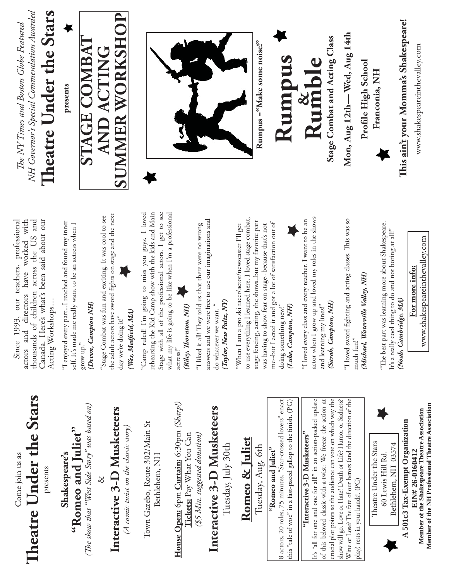Theatre Under the Stars **Th eatre Under the Stars** Come join us as Come join us as presents

"Romeo and Juliet"<br>(The show that "West Side Story" was based on) **"Romeo and Juliet" Shakespeare's**  Shakespeare's

*(Th e show that "West Side Story" was based on)*

&

# Interactive 3-D Musketeers **Interactive 3-D Musketeers**

(A comic twist on the classic story) *(A comic twist on the classic story)* Town Gazebo, Route 302/Main St Town Gazebo, Route 302/Main St Bethlehem, NH Bethlehem, NH

House Open: 6pm Curtain: 6:30pm (Sharp!) **House Open:** 6pm **Curtain:** 6:30pm *(Sharp!)* **Tickets:** Pay What You Can Tickets: Pay What You Can \$5 Min. suggested donation) *(\$5 Min. suggested donation)*

# Interactive 3-D Musketeers **Interactive 3-D Musketeers**

Tuesday, July 30th Tuesday, July 30th

### Romeo & Juliet **Romeo & Juliet**

Tuesday, Aug. 6th Tuesday, Aug. 6th

#### "Romeo and Juliet" **"Romeo and Juliet"**

8 actors, 20 roles, 75 minutes. "Star-crossed lovers" enact this "tale of woe" in a fast-paced gallop to the finish.  $(\mathrm{PG})$ 8 actors, 20 roles, 75 minutes. "Star-crossed lovers" enact this "tale of woe" in a fast-paced gallop to the finish. (PG)

## **"Interactive 3-D Musketeers"** "Interactive 3-D Musketeers"

It's "all for one and one for all!" in an action-packed update It's "all for one and one for all!" in an action-packed update of this beloved classic-with-a-twist: We freeze the action at of this beloved classic-with-a-twist: We freeze the action at crucial plot points so the audience can vote on which way the crucial plot points so the audience can vote on which way the show will go. Love or Hate? Death or Life? Humor or Sadness? Wine or Lose? The fate of our heroes (and the direction of the Wine or Lose? The fate of our heroes (and the direction of the show will go. Love or Hate? Death or Life? Humor or Sadness? play) rests in your hands!. (PG) play) rests in your hands!. (PG)





Member of the Shakespeare Theatre Association **Member of the Shakespeare Theatre Association**  A 501c3 Tax-Exempt Organization **A 501c3 Tax-Exempt Organization** EIN# 26-0160412 **EIN# 26-0160412**

**Member of the NH Professional Theatre Association**

Member of the NH Professional Theatre Association

Since 1993, our teachers, professional actors and directors have worked with thousands of children across the US and Canada. Here's what's been said about our Canada. Here's what's been said about our Since 1993, our teachers, professional actors and directors have worked with chousands of children across the US and Acting Workshops... Acting Workshops…

"I enjoyed every part...I reached and found my inner 'I enjoyed every part...I reached and found my inner self. It's made me really want to be an actress when I self. It's made me really want to be an actress when I

#### grow up."<br>(**Devon, Campton NH**) *(Devon, Campton NH)*

the adult actors have sword fights on stage and the next the adult actors have sword fights on stage and the next "Stage Combat was fun and exciting. It was cool to see "Stage Combat was fun and exciting. It was cool to see day we're doing it!" day we're doing it!"

Wes, Medfield, MA) *(Wes, Medfi eld, MA)*

rehearsing the Kid Camp show with the kids and Main Stage with all of the professional actors. I get to see "Camp ruled! I'm going to miss you guys. I loved Stage with all of the professional actors. I get to see what my life is going to be like when I'm a professional "Camp ruled! I'm going to miss you guys. I loved rehearsing the Kid Camp show with the kids and Main what my life is going to be like when I'm a professional actress!"

Riley, Thornton, NH) *(Riley, Th ornton, NH)*

answers and we were free to use our imaginations and answers and we were free to use our imaginations and 'I liked it all! They told us that there were no wrong "I liked it all! They told us that there were no wrong Taylor, New Paltz, NY *(Taylor, New Paltz, NY)* do whatever we want." do whatever we want. "

to use everything I learned here. I loved stage combat, to use everything I learned here. I loved stage combat, stage fencing, acting, the shows..but my favorite part stage fencing, acting, the shows..but my favorite part me--but I acted it and got a lot of satisfaction out of me--but I acted it and got a lot of satisfaction out of 'When I am a pro ski racer/actor/newscaster I'll get "When I am a pro ski racer/actor/newscaster I'll get was having to show fear on stage-because that's not was having to show fear on stage--because that's not doing something new!" doing something new!" Luke, Campton, NH) *(Luke, Campton, NH)*

actor when I grow up and loved my roles in the shows actor when I grow up and loved my roles in the shows 'I loved every class and every teacher. I want to be an "I loved every class and every teacher. I want to be an

Sarah, Campton, NH) *(Sarah, Campton, NH)* and learning my lines!" and learning my lines!"

"I loved sword fighting and acting classes. This was so "I loved sword fighting and acting classes. This was so nuch fun!" much fun!"

(Michael, Waterville Valley, NH) *(Michael, Waterville Valley, NH)*

"The best part was learning more about Shakespeare. 'The best part was learning more about Shakespeare. It's a really cool thing to do and not boring at all!" it's a really cool thing to do and not boring at all!" (Noah, Cambridge, MA) *(Noah, Cambridge, MA)*

www.shakespeareinthevalley.com www.shakespeareinthevalley.com <u>For more info:</u> **For more info:**

NH Governor's Special Commendation Awarded *NH Governor's Special Commendation Awarded* The NY Times and Boston Globe Featured *Th e NY Times and Boston Globe Featured*

Theatre Under the Stars **Th eatre Under the Stars**

**presents**

#### **SUMMER WORKSHOP SUMMER WORKSHOP STAGE COMBAT STAGE COMBAT AND ACTING AND ACTING**



**Rumpus ="Make some noise!"**

## **Rumpus & Rumble**

Stage Combat and Acting Class **Stage Combat and Acting Class**

**Mon, Aug 12th— Wed, Aug 14th**  Mon, Aug 12th - Wed, Aug 14th

Profile High School Profile High School Franconia, NH **Franconia, NH** This ain't your Momma's Shakespeare! **Th is ain't your Momma's Shakespeare!**

www.shakespeareinthevalley.com www.shakespeareinthevalley.com